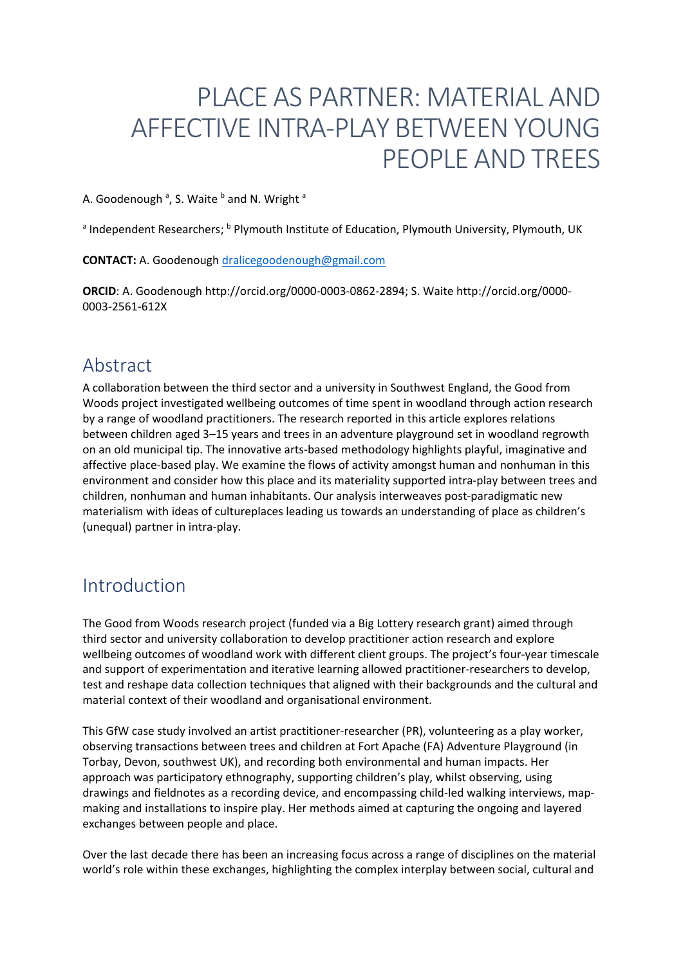# PLACE AS PARTNER: MATERIAL AND AFFECTIVE INTRA-PLAY BETWEEN YOUNG PEOPLE AND TREES

A. Goodenough <sup>a</sup>, S. Waite <sup>b</sup> and N. Wright <sup>a</sup>

<sup>a</sup> Independent Researchers; <sup>b</sup> Plymouth Institute of Education, Plymouth University, Plymouth, UK

**CONTACT:** A. Goodenoug[h dralicegoodenough@gmail.com](mailto:dralicegoodenough@gmail.com)

**ORCID**: A. Goodenough http://orcid.org/0000-0003-0862-2894; S. Waite http://orcid.org/0000- 0003-2561-612X

### Abstract

A collaboration between the third sector and a university in Southwest England, the Good from Woods project investigated wellbeing outcomes of time spent in woodland through action research by a range of woodland practitioners. The research reported in this article explores relations between children aged 3–15 years and trees in an adventure playground set in woodland regrowth on an old municipal tip. The innovative arts-based methodology highlights playful, imaginative and affective place-based play. We examine the flows of activity amongst human and nonhuman in this environment and consider how this place and its materiality supported intra-play between trees and children, nonhuman and human inhabitants. Our analysis interweaves post-paradigmatic new materialism with ideas of cultureplaces leading us towards an understanding of place as children's (unequal) partner in intra-play.

## Introduction

The Good from Woods research project (funded via a Big Lottery research grant) aimed through third sector and university collaboration to develop practitioner action research and explore wellbeing outcomes of woodland work with different client groups. The project's four-year timescale and support of experimentation and iterative learning allowed practitioner-researchers to develop, test and reshape data collection techniques that aligned with their backgrounds and the cultural and material context of their woodland and organisational environment.

This GfW case study involved an artist practitioner-researcher (PR), volunteering as a play worker, observing transactions between trees and children at Fort Apache (FA) Adventure Playground (in Torbay, Devon, southwest UK), and recording both environmental and human impacts. Her approach was participatory ethnography, supporting children's play, whilst observing, using drawings and fieldnotes as a recording device, and encompassing child-led walking interviews, mapmaking and installations to inspire play. Her methods aimed at capturing the ongoing and layered exchanges between people and place.

Over the last decade there has been an increasing focus across a range of disciplines on the material world's role within these exchanges, highlighting the complex interplay between social, cultural and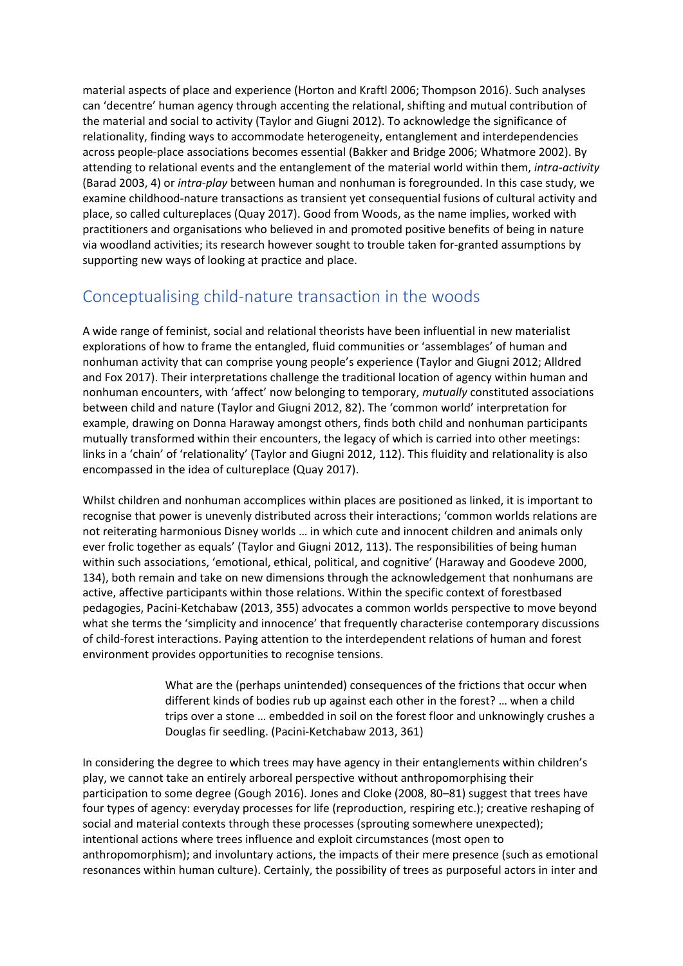material aspects of place and experience (Horton and Kraftl 2006; Thompson 2016). Such analyses can 'decentre' human agency through accenting the relational, shifting and mutual contribution of the material and social to activity (Taylor and Giugni 2012). To acknowledge the significance of relationality, finding ways to accommodate heterogeneity, entanglement and interdependencies across people-place associations becomes essential (Bakker and Bridge 2006; Whatmore 2002). By attending to relational events and the entanglement of the material world within them, *intra-activity* (Barad 2003, 4) or *intra-play* between human and nonhuman is foregrounded. In this case study, we examine childhood-nature transactions as transient yet consequential fusions of cultural activity and place, so called cultureplaces (Quay 2017). Good from Woods, as the name implies, worked with practitioners and organisations who believed in and promoted positive benefits of being in nature via woodland activities; its research however sought to trouble taken for-granted assumptions by supporting new ways of looking at practice and place.

### Conceptualising child-nature transaction in the woods

A wide range of feminist, social and relational theorists have been influential in new materialist explorations of how to frame the entangled, fluid communities or 'assemblages' of human and nonhuman activity that can comprise young people's experience (Taylor and Giugni 2012; Alldred and Fox 2017). Their interpretations challenge the traditional location of agency within human and nonhuman encounters, with 'affect' now belonging to temporary, *mutually* constituted associations between child and nature (Taylor and Giugni 2012, 82). The 'common world' interpretation for example, drawing on Donna Haraway amongst others, finds both child and nonhuman participants mutually transformed within their encounters, the legacy of which is carried into other meetings: links in a 'chain' of 'relationality' (Taylor and Giugni 2012, 112). This fluidity and relationality is also encompassed in the idea of cultureplace (Quay 2017).

Whilst children and nonhuman accomplices within places are positioned as linked, it is important to recognise that power is unevenly distributed across their interactions; 'common worlds relations are not reiterating harmonious Disney worlds … in which cute and innocent children and animals only ever frolic together as equals' (Taylor and Giugni 2012, 113). The responsibilities of being human within such associations, 'emotional, ethical, political, and cognitive' (Haraway and Goodeve 2000, 134), both remain and take on new dimensions through the acknowledgement that nonhumans are active, affective participants within those relations. Within the specific context of forestbased pedagogies, Pacini-Ketchabaw (2013, 355) advocates a common worlds perspective to move beyond what she terms the 'simplicity and innocence' that frequently characterise contemporary discussions of child-forest interactions. Paying attention to the interdependent relations of human and forest environment provides opportunities to recognise tensions.

> What are the (perhaps unintended) consequences of the frictions that occur when different kinds of bodies rub up against each other in the forest? … when a child trips over a stone … embedded in soil on the forest floor and unknowingly crushes a Douglas fir seedling. (Pacini-Ketchabaw 2013, 361)

In considering the degree to which trees may have agency in their entanglements within children's play, we cannot take an entirely arboreal perspective without anthropomorphising their participation to some degree (Gough 2016). Jones and Cloke (2008, 80–81) suggest that trees have four types of agency: everyday processes for life (reproduction, respiring etc.); creative reshaping of social and material contexts through these processes (sprouting somewhere unexpected); intentional actions where trees influence and exploit circumstances (most open to anthropomorphism); and involuntary actions, the impacts of their mere presence (such as emotional resonances within human culture). Certainly, the possibility of trees as purposeful actors in inter and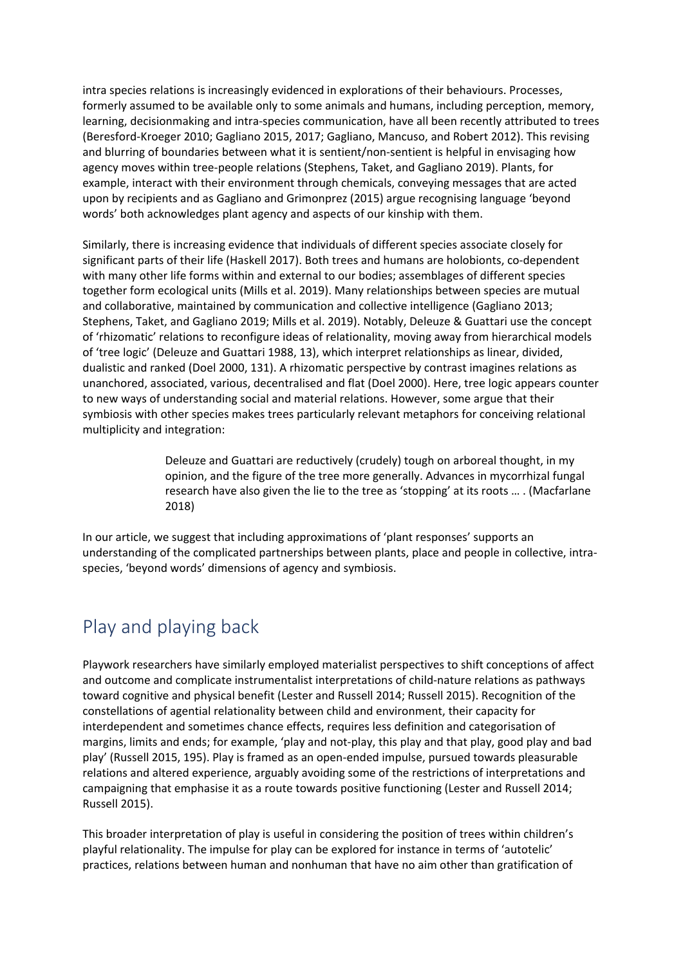intra species relations is increasingly evidenced in explorations of their behaviours. Processes, formerly assumed to be available only to some animals and humans, including perception, memory, learning, decisionmaking and intra-species communication, have all been recently attributed to trees (Beresford-Kroeger 2010; Gagliano 2015, 2017; Gagliano, Mancuso, and Robert 2012). This revising and blurring of boundaries between what it is sentient/non-sentient is helpful in envisaging how agency moves within tree-people relations (Stephens, Taket, and Gagliano 2019). Plants, for example, interact with their environment through chemicals, conveying messages that are acted upon by recipients and as Gagliano and Grimonprez (2015) argue recognising language 'beyond words' both acknowledges plant agency and aspects of our kinship with them.

Similarly, there is increasing evidence that individuals of different species associate closely for significant parts of their life (Haskell 2017). Both trees and humans are holobionts, co-dependent with many other life forms within and external to our bodies; assemblages of different species together form ecological units (Mills et al. 2019). Many relationships between species are mutual and collaborative, maintained by communication and collective intelligence (Gagliano 2013; Stephens, Taket, and Gagliano 2019; Mills et al. 2019). Notably, Deleuze & Guattari use the concept of 'rhizomatic' relations to reconfigure ideas of relationality, moving away from hierarchical models of 'tree logic' (Deleuze and Guattari 1988, 13), which interpret relationships as linear, divided, dualistic and ranked (Doel 2000, 131). A rhizomatic perspective by contrast imagines relations as unanchored, associated, various, decentralised and flat (Doel 2000). Here, tree logic appears counter to new ways of understanding social and material relations. However, some argue that their symbiosis with other species makes trees particularly relevant metaphors for conceiving relational multiplicity and integration:

> Deleuze and Guattari are reductively (crudely) tough on arboreal thought, in my opinion, and the figure of the tree more generally. Advances in mycorrhizal fungal research have also given the lie to the tree as 'stopping' at its roots … . (Macfarlane 2018)

In our article, we suggest that including approximations of 'plant responses' supports an understanding of the complicated partnerships between plants, place and people in collective, intraspecies, 'beyond words' dimensions of agency and symbiosis.

## Play and playing back

Playwork researchers have similarly employed materialist perspectives to shift conceptions of affect and outcome and complicate instrumentalist interpretations of child-nature relations as pathways toward cognitive and physical benefit (Lester and Russell 2014; Russell 2015). Recognition of the constellations of agential relationality between child and environment, their capacity for interdependent and sometimes chance effects, requires less definition and categorisation of margins, limits and ends; for example, 'play and not-play, this play and that play, good play and bad play' (Russell 2015, 195). Play is framed as an open-ended impulse, pursued towards pleasurable relations and altered experience, arguably avoiding some of the restrictions of interpretations and campaigning that emphasise it as a route towards positive functioning (Lester and Russell 2014; Russell 2015).

This broader interpretation of play is useful in considering the position of trees within children's playful relationality. The impulse for play can be explored for instance in terms of 'autotelic' practices, relations between human and nonhuman that have no aim other than gratification of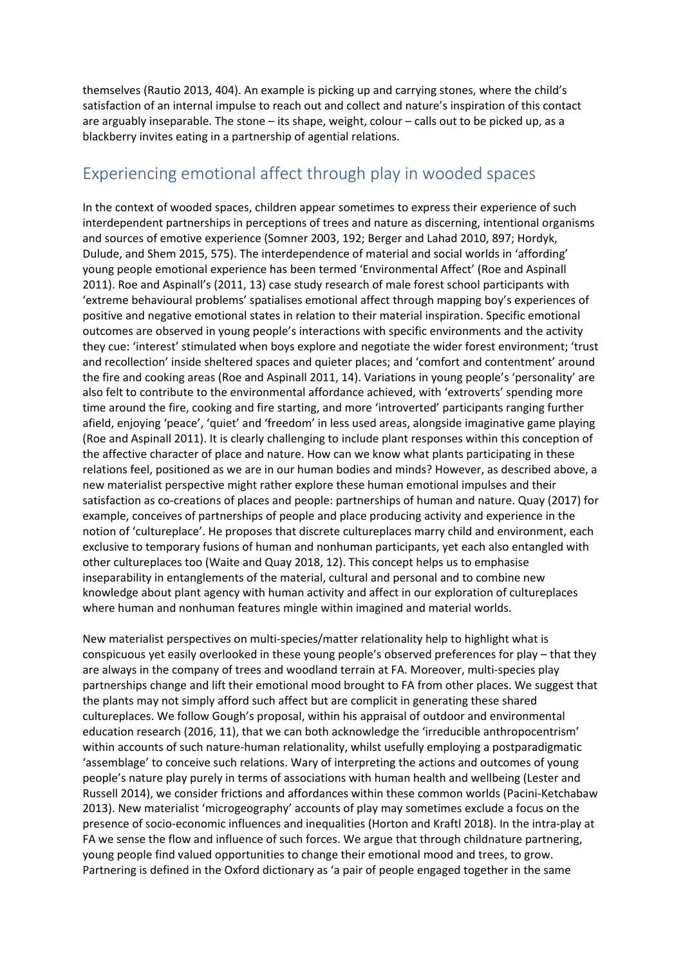themselves (Rautio 2013, 404). An example is picking up and carrying stones, where the child's satisfaction of an internal impulse to reach out and collect and nature's inspiration of this contact are arguably inseparable. The stone – its shape, weight, colour – calls out to be picked up, as a blackberry invites eating in a partnership of agential relations.

#### Experiencing emotional affect through play in wooded spaces

In the context of wooded spaces, children appear sometimes to express their experience of such interdependent partnerships in perceptions of trees and nature as discerning, intentional organisms and sources of emotive experience (Somner 2003, 192; Berger and Lahad 2010, 897; Hordyk, Dulude, and Shem 2015, 575). The interdependence of material and social worlds in 'affording' young people emotional experience has been termed 'Environmental Affect' (Roe and Aspinall 2011). Roe and Aspinall's (2011, 13) case study research of male forest school participants with 'extreme behavioural problems' spatialises emotional affect through mapping boy's experiences of positive and negative emotional states in relation to their material inspiration. Specific emotional outcomes are observed in young people's interactions with specific environments and the activity they cue: 'interest' stimulated when boys explore and negotiate the wider forest environment; 'trust and recollection' inside sheltered spaces and quieter places; and 'comfort and contentment' around the fire and cooking areas (Roe and Aspinall 2011, 14). Variations in young people's 'personality' are also felt to contribute to the environmental affordance achieved, with 'extroverts' spending more time around the fire, cooking and fire starting, and more 'introverted' participants ranging further afield, enjoying 'peace', 'quiet' and 'freedom' in less used areas, alongside imaginative game playing (Roe and Aspinall 2011). It is clearly challenging to include plant responses within this conception of the affective character of place and nature. How can we know what plants participating in these relations feel, positioned as we are in our human bodies and minds? However, as described above, a new materialist perspective might rather explore these human emotional impulses and their satisfaction as co-creations of places and people: partnerships of human and nature. Quay (2017) for example, conceives of partnerships of people and place producing activity and experience in the notion of 'cultureplace'. He proposes that discrete cultureplaces marry child and environment, each exclusive to temporary fusions of human and nonhuman participants, yet each also entangled with other cultureplaces too (Waite and Quay 2018, 12). This concept helps us to emphasise inseparability in entanglements of the material, cultural and personal and to combine new knowledge about plant agency with human activity and affect in our exploration of cultureplaces where human and nonhuman features mingle within imagined and material worlds.

New materialist perspectives on multi-species/matter relationality help to highlight what is conspicuous yet easily overlooked in these young people's observed preferences for play – that they are always in the company of trees and woodland terrain at FA. Moreover, multi-species play partnerships change and lift their emotional mood brought to FA from other places. We suggest that the plants may not simply afford such affect but are complicit in generating these shared cultureplaces. We follow Gough's proposal, within his appraisal of outdoor and environmental education research (2016, 11), that we can both acknowledge the 'irreducible anthropocentrism' within accounts of such nature-human relationality, whilst usefully employing a postparadigmatic 'assemblage' to conceive such relations. Wary of interpreting the actions and outcomes of young people's nature play purely in terms of associations with human health and wellbeing (Lester and Russell 2014), we consider frictions and affordances within these common worlds (Pacini-Ketchabaw 2013). New materialist 'microgeography' accounts of play may sometimes exclude a focus on the presence of socio-economic influences and inequalities (Horton and Kraftl 2018). In the intra-play at FA we sense the flow and influence of such forces. We argue that through childnature partnering, young people find valued opportunities to change their emotional mood and trees, to grow. Partnering is defined in the Oxford dictionary as 'a pair of people engaged together in the same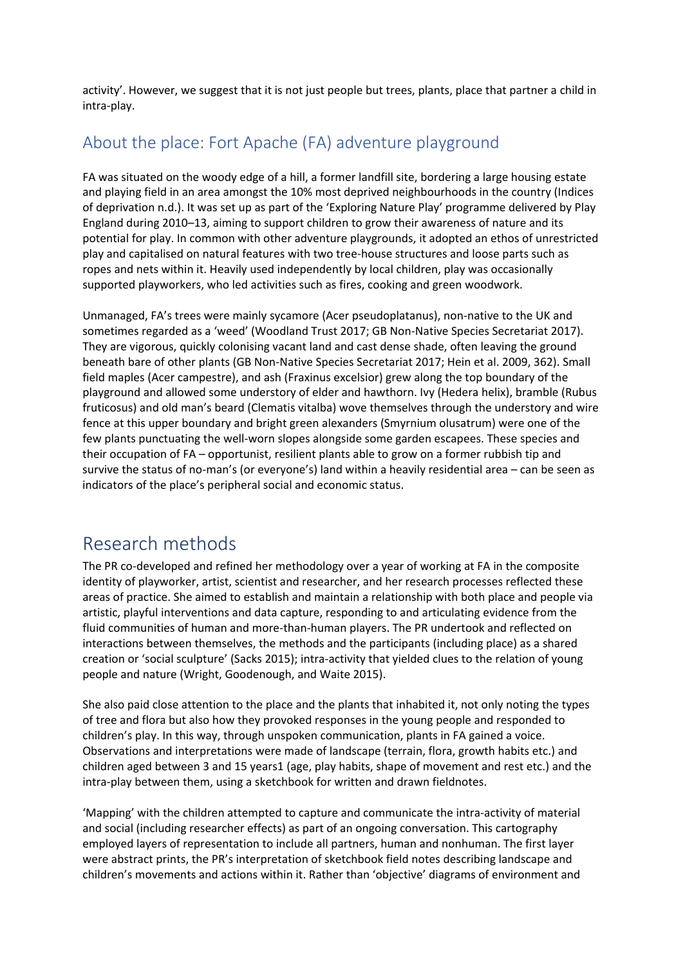activity'. However, we suggest that it is not just people but trees, plants, place that partner a child in intra-play.

### About the place: Fort Apache (FA) adventure playground

FA was situated on the woody edge of a hill, a former landfill site, bordering a large housing estate and playing field in an area amongst the 10% most deprived neighbourhoods in the country (Indices of deprivation n.d.). It was set up as part of the 'Exploring Nature Play' programme delivered by Play England during 2010–13, aiming to support children to grow their awareness of nature and its potential for play. In common with other adventure playgrounds, it adopted an ethos of unrestricted play and capitalised on natural features with two tree-house structures and loose parts such as ropes and nets within it. Heavily used independently by local children, play was occasionally supported playworkers, who led activities such as fires, cooking and green woodwork.

Unmanaged, FA's trees were mainly sycamore (Acer pseudoplatanus), non-native to the UK and sometimes regarded as a 'weed' (Woodland Trust 2017; GB Non-Native Species Secretariat 2017). They are vigorous, quickly colonising vacant land and cast dense shade, often leaving the ground beneath bare of other plants (GB Non-Native Species Secretariat 2017; Hein et al. 2009, 362). Small field maples (Acer campestre), and ash (Fraxinus excelsior) grew along the top boundary of the playground and allowed some understory of elder and hawthorn. Ivy (Hedera helix), bramble (Rubus fruticosus) and old man's beard (Clematis vitalba) wove themselves through the understory and wire fence at this upper boundary and bright green alexanders (Smyrnium olusatrum) were one of the few plants punctuating the well-worn slopes alongside some garden escapees. These species and their occupation of FA – opportunist, resilient plants able to grow on a former rubbish tip and survive the status of no-man's (or everyone's) land within a heavily residential area – can be seen as indicators of the place's peripheral social and economic status.

## Research methods

The PR co-developed and refined her methodology over a year of working at FA in the composite identity of playworker, artist, scientist and researcher, and her research processes reflected these areas of practice. She aimed to establish and maintain a relationship with both place and people via artistic, playful interventions and data capture, responding to and articulating evidence from the fluid communities of human and more-than-human players. The PR undertook and reflected on interactions between themselves, the methods and the participants (including place) as a shared creation or 'social sculpture' (Sacks 2015); intra-activity that yielded clues to the relation of young people and nature (Wright, Goodenough, and Waite 2015).

She also paid close attention to the place and the plants that inhabited it, not only noting the types of tree and flora but also how they provoked responses in the young people and responded to children's play. In this way, through unspoken communication, plants in FA gained a voice. Observations and interpretations were made of landscape (terrain, flora, growth habits etc.) and children aged between 3 and 15 years1 (age, play habits, shape of movement and rest etc.) and the intra-play between them, using a sketchbook for written and drawn fieldnotes.

'Mapping' with the children attempted to capture and communicate the intra-activity of material and social (including researcher effects) as part of an ongoing conversation. This cartography employed layers of representation to include all partners, human and nonhuman. The first layer were abstract prints, the PR's interpretation of sketchbook field notes describing landscape and children's movements and actions within it. Rather than 'objective' diagrams of environment and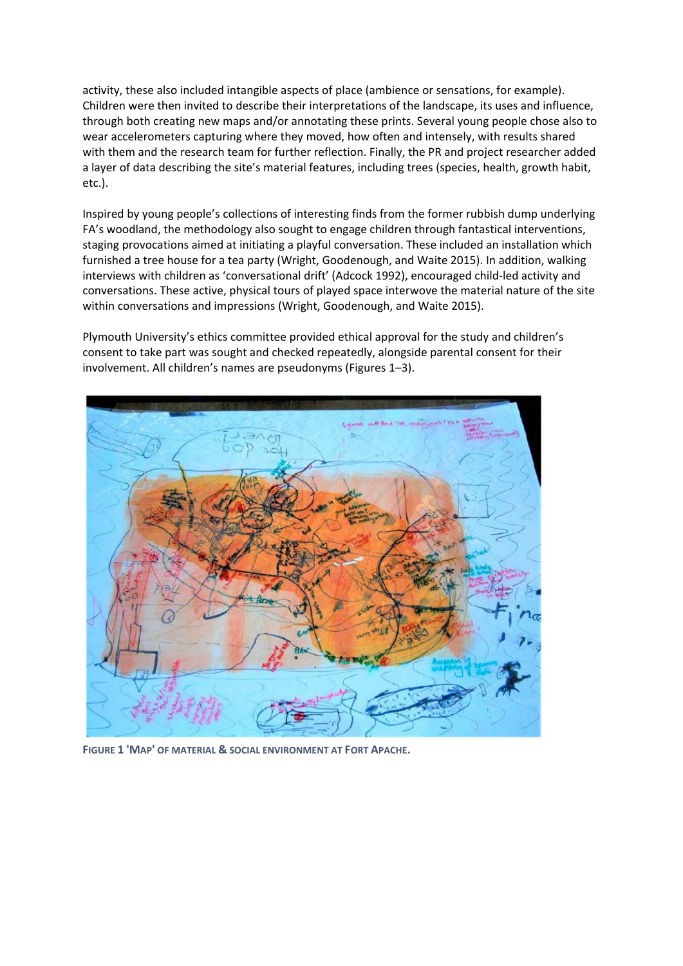activity, these also included intangible aspects of place (ambience or sensations, for example). Children were then invited to describe their interpretations of the landscape, its uses and influence, through both creating new maps and/or annotating these prints. Several young people chose also to wear accelerometers capturing where they moved, how often and intensely, with results shared with them and the research team for further reflection. Finally, the PR and project researcher added a layer of data describing the site's material features, including trees (species, health, growth habit, etc.).

Inspired by young people's collections of interesting finds from the former rubbish dump underlying FA's woodland, the methodology also sought to engage children through fantastical interventions, staging provocations aimed at initiating a playful conversation. These included an installation which furnished a tree house for a tea party (Wright, Goodenough, and Waite 2015). In addition, walking interviews with children as 'conversational drift' (Adcock 1992), encouraged child-led activity and conversations. These active, physical tours of played space interwove the material nature of the site within conversations and impressions (Wright, Goodenough, and Waite 2015).

Plymouth University's ethics committee provided ethical approval for the study and children's consent to take part was sought and checked repeatedly, alongside parental consent for their involvement. All children's names are pseudonyms (Figures 1–3).



**FIGURE 1 'MAP' OF MATERIAL & SOCIAL ENVIRONMENT AT FORT APACHE.**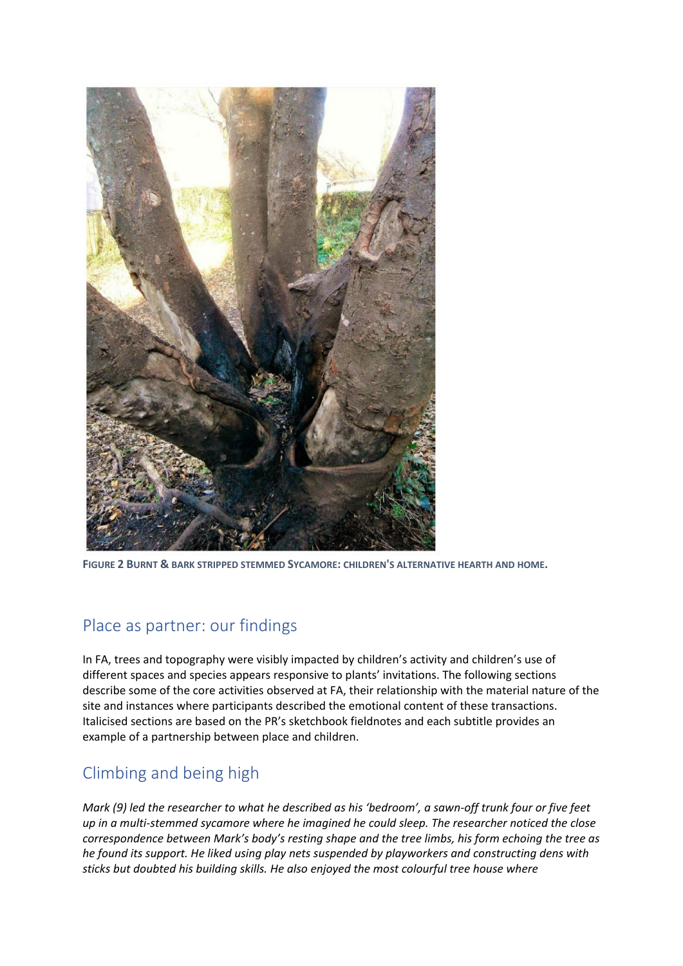

**FIGURE 2 BURNT & BARK STRIPPED STEMMED SYCAMORE: CHILDREN'S ALTERNATIVE HEARTH AND HOME.**

### Place as partner: our findings

In FA, trees and topography were visibly impacted by children's activity and children's use of different spaces and species appears responsive to plants' invitations. The following sections describe some of the core activities observed at FA, their relationship with the material nature of the site and instances where participants described the emotional content of these transactions. Italicised sections are based on the PR's sketchbook fieldnotes and each subtitle provides an example of a partnership between place and children.

### Climbing and being high

*Mark (9) led the researcher to what he described as his 'bedroom', a sawn-off trunk four or five feet up in a multi-stemmed sycamore where he imagined he could sleep. The researcher noticed the close correspondence between Mark's body's resting shape and the tree limbs, his form echoing the tree as he found its support. He liked using play nets suspended by playworkers and constructing dens with sticks but doubted his building skills. He also enjoyed the most colourful tree house where*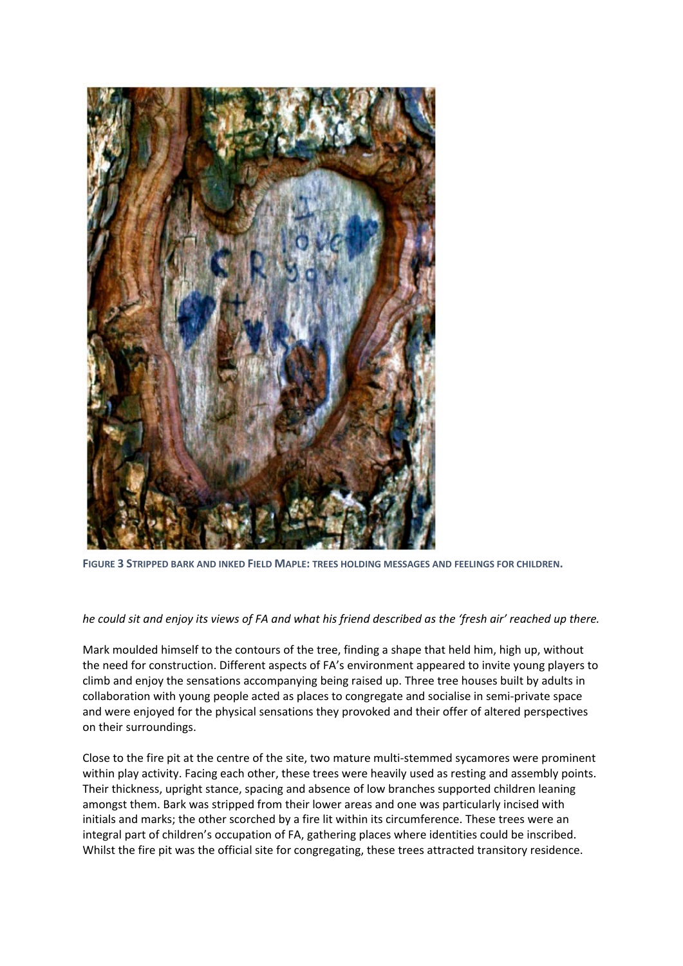

**FIGURE 3 STRIPPED BARK AND INKED FIELD MAPLE: TREES HOLDING MESSAGES AND FEELINGS FOR CHILDREN.**

#### *he could sit and enjoy its views of FA and what his friend described as the 'fresh air' reached up there.*

Mark moulded himself to the contours of the tree, finding a shape that held him, high up, without the need for construction. Different aspects of FA's environment appeared to invite young players to climb and enjoy the sensations accompanying being raised up. Three tree houses built by adults in collaboration with young people acted as places to congregate and socialise in semi-private space and were enjoyed for the physical sensations they provoked and their offer of altered perspectives on their surroundings.

Close to the fire pit at the centre of the site, two mature multi-stemmed sycamores were prominent within play activity. Facing each other, these trees were heavily used as resting and assembly points. Their thickness, upright stance, spacing and absence of low branches supported children leaning amongst them. Bark was stripped from their lower areas and one was particularly incised with initials and marks; the other scorched by a fire lit within its circumference. These trees were an integral part of children's occupation of FA, gathering places where identities could be inscribed. Whilst the fire pit was the official site for congregating, these trees attracted transitory residence.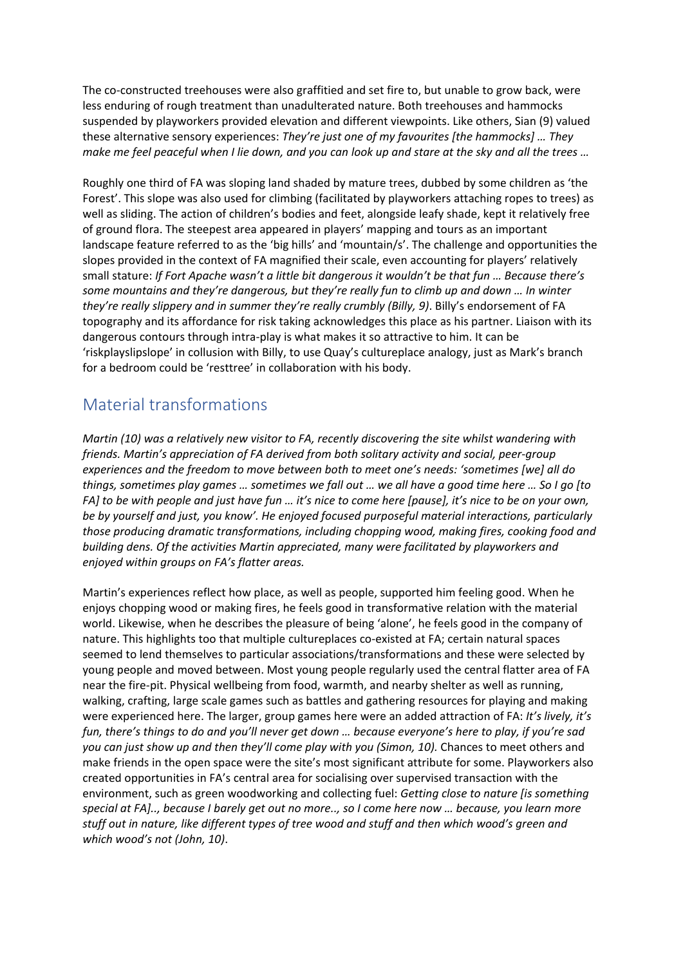The co-constructed treehouses were also graffitied and set fire to, but unable to grow back, were less enduring of rough treatment than unadulterated nature. Both treehouses and hammocks suspended by playworkers provided elevation and different viewpoints. Like others, Sian (9) valued these alternative sensory experiences: *They're just one of my favourites [the hammocks] … They make me feel peaceful when I lie down, and you can look up and stare at the sky and all the trees …*

Roughly one third of FA was sloping land shaded by mature trees, dubbed by some children as 'the Forest'. This slope was also used for climbing (facilitated by playworkers attaching ropes to trees) as well as sliding. The action of children's bodies and feet, alongside leafy shade, kept it relatively free of ground flora. The steepest area appeared in players' mapping and tours as an important landscape feature referred to as the 'big hills' and 'mountain/s'. The challenge and opportunities the slopes provided in the context of FA magnified their scale, even accounting for players' relatively small stature: *If Fort Apache wasn't a little bit dangerous it wouldn't be that fun … Because there's some mountains and they're dangerous, but they're really fun to climb up and down … In winter they're really slippery and in summer they're really crumbly (Billy, 9)*. Billy's endorsement of FA topography and its affordance for risk taking acknowledges this place as his partner. Liaison with its dangerous contours through intra-play is what makes it so attractive to him. It can be 'riskplayslipslope' in collusion with Billy, to use Quay's cultureplace analogy, just as Mark's branch for a bedroom could be 'resttree' in collaboration with his body.

#### Material transformations

*Martin (10) was a relatively new visitor to FA, recently discovering the site whilst wandering with friends. Martin's appreciation of FA derived from both solitary activity and social, peer-group experiences and the freedom to move between both to meet one's needs: 'sometimes [we] all do things, sometimes play games … sometimes we fall out … we all have a good time here … So I go [to FA] to be with people and just have fun … it's nice to come here [pause], it's nice to be on your own, be by yourself and just, you know'. He enjoyed focused purposeful material interactions, particularly those producing dramatic transformations, including chopping wood, making fires, cooking food and building dens. Of the activities Martin appreciated, many were facilitated by playworkers and enjoyed within groups on FA's flatter areas.*

Martin's experiences reflect how place, as well as people, supported him feeling good. When he enjoys chopping wood or making fires, he feels good in transformative relation with the material world. Likewise, when he describes the pleasure of being 'alone', he feels good in the company of nature. This highlights too that multiple cultureplaces co-existed at FA; certain natural spaces seemed to lend themselves to particular associations/transformations and these were selected by young people and moved between. Most young people regularly used the central flatter area of FA near the fire-pit. Physical wellbeing from food, warmth, and nearby shelter as well as running, walking, crafting, large scale games such as battles and gathering resources for playing and making were experienced here. The larger, group games here were an added attraction of FA: *It's lively, it's fun, there's things to do and you'll never get down … because everyone's here to play, if you're sad you can just show up and then they'll come play with you (Simon, 10).* Chances to meet others and make friends in the open space were the site's most significant attribute for some. Playworkers also created opportunities in FA's central area for socialising over supervised transaction with the environment, such as green woodworking and collecting fuel: *Getting close to nature [is something special at FA].., because I barely get out no more.., so I come here now … because, you learn more stuff out in nature, like different types of tree wood and stuff and then which wood's green and which wood's not (John, 10)*.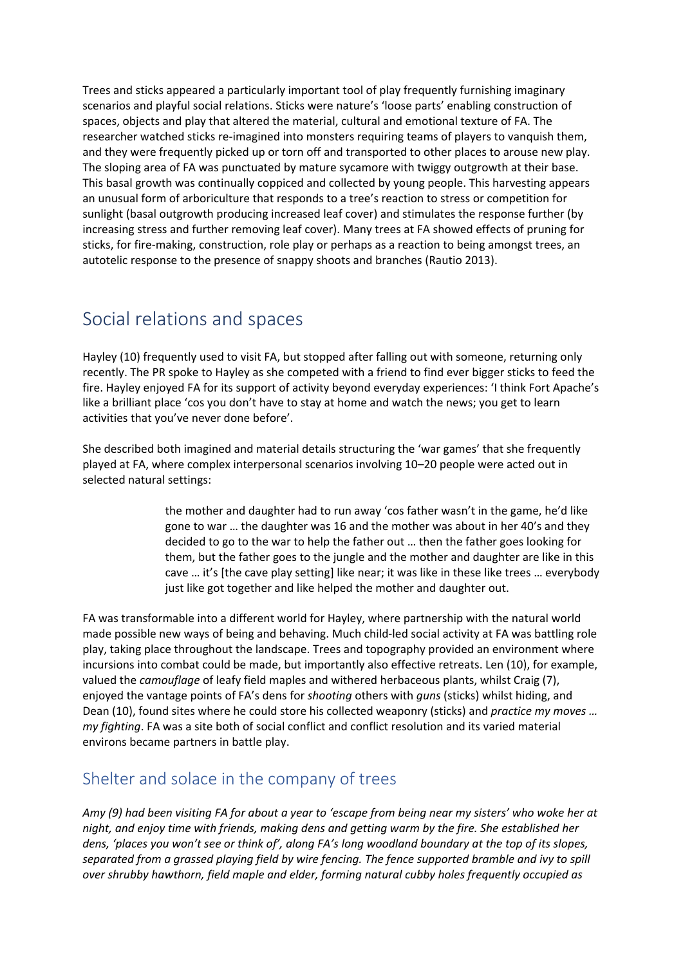Trees and sticks appeared a particularly important tool of play frequently furnishing imaginary scenarios and playful social relations. Sticks were nature's 'loose parts' enabling construction of spaces, objects and play that altered the material, cultural and emotional texture of FA. The researcher watched sticks re-imagined into monsters requiring teams of players to vanquish them, and they were frequently picked up or torn off and transported to other places to arouse new play. The sloping area of FA was punctuated by mature sycamore with twiggy outgrowth at their base. This basal growth was continually coppiced and collected by young people. This harvesting appears an unusual form of arboriculture that responds to a tree's reaction to stress or competition for sunlight (basal outgrowth producing increased leaf cover) and stimulates the response further (by increasing stress and further removing leaf cover). Many trees at FA showed effects of pruning for sticks, for fire-making, construction, role play or perhaps as a reaction to being amongst trees, an autotelic response to the presence of snappy shoots and branches (Rautio 2013).

## Social relations and spaces

Hayley (10) frequently used to visit FA, but stopped after falling out with someone, returning only recently. The PR spoke to Hayley as she competed with a friend to find ever bigger sticks to feed the fire. Hayley enjoyed FA for its support of activity beyond everyday experiences: 'I think Fort Apache's like a brilliant place 'cos you don't have to stay at home and watch the news; you get to learn activities that you've never done before'.

She described both imagined and material details structuring the 'war games' that she frequently played at FA, where complex interpersonal scenarios involving 10–20 people were acted out in selected natural settings:

> the mother and daughter had to run away 'cos father wasn't in the game, he'd like gone to war … the daughter was 16 and the mother was about in her 40's and they decided to go to the war to help the father out … then the father goes looking for them, but the father goes to the jungle and the mother and daughter are like in this cave … it's [the cave play setting] like near; it was like in these like trees … everybody just like got together and like helped the mother and daughter out.

FA was transformable into a different world for Hayley, where partnership with the natural world made possible new ways of being and behaving. Much child-led social activity at FA was battling role play, taking place throughout the landscape. Trees and topography provided an environment where incursions into combat could be made, but importantly also effective retreats. Len (10), for example, valued the *camouflage* of leafy field maples and withered herbaceous plants, whilst Craig (7), enjoyed the vantage points of FA's dens for *shooting* others with *guns* (sticks) whilst hiding, and Dean (10), found sites where he could store his collected weaponry (sticks) and *practice my moves … my fighting*. FA was a site both of social conflict and conflict resolution and its varied material environs became partners in battle play.

### Shelter and solace in the company of trees

*Amy (9) had been visiting FA for about a year to 'escape from being near my sisters' who woke her at night, and enjoy time with friends, making dens and getting warm by the fire. She established her dens, 'places you won't see or think of', along FA's long woodland boundary at the top of its slopes, separated from a grassed playing field by wire fencing. The fence supported bramble and ivy to spill over shrubby hawthorn, field maple and elder, forming natural cubby holes frequently occupied as*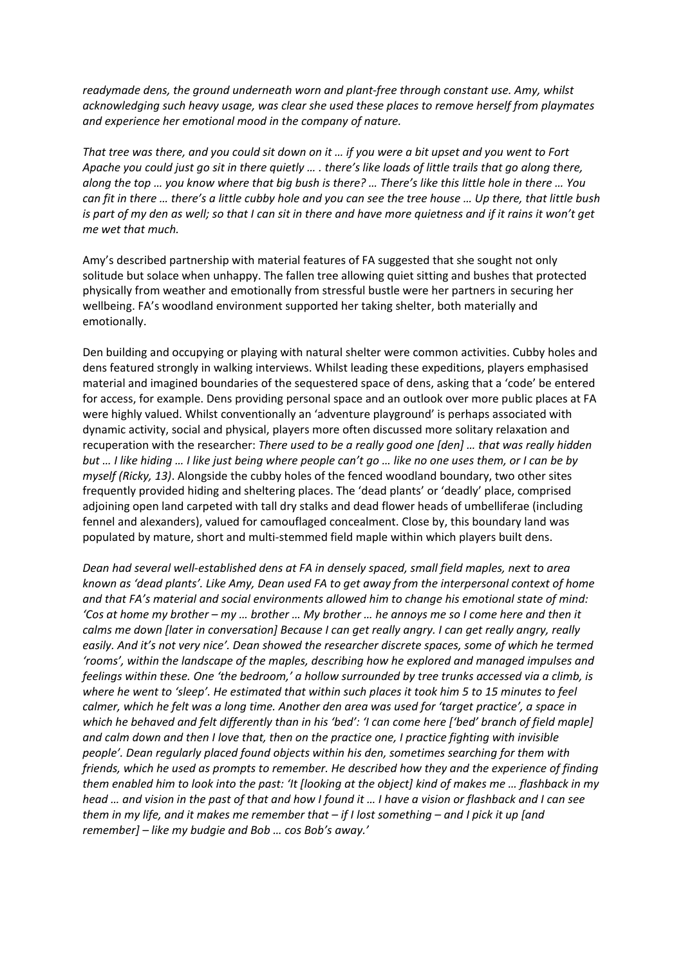*readymade dens, the ground underneath worn and plant-free through constant use. Amy, whilst acknowledging such heavy usage, was clear she used these places to remove herself from playmates and experience her emotional mood in the company of nature.*

*That tree was there, and you could sit down on it … if you were a bit upset and you went to Fort Apache you could just go sit in there quietly … . there's like loads of little trails that go along there, along the top … you know where that big bush is there? … There's like this little hole in there … You can fit in there … there's a little cubby hole and you can see the tree house … Up there, that little bush is part of my den as well; so that I can sit in there and have more quietness and if it rains it won't get me wet that much.*

Amy's described partnership with material features of FA suggested that she sought not only solitude but solace when unhappy. The fallen tree allowing quiet sitting and bushes that protected physically from weather and emotionally from stressful bustle were her partners in securing her wellbeing. FA's woodland environment supported her taking shelter, both materially and emotionally.

Den building and occupying or playing with natural shelter were common activities. Cubby holes and dens featured strongly in walking interviews. Whilst leading these expeditions, players emphasised material and imagined boundaries of the sequestered space of dens, asking that a 'code' be entered for access, for example. Dens providing personal space and an outlook over more public places at FA were highly valued. Whilst conventionally an 'adventure playground' is perhaps associated with dynamic activity, social and physical, players more often discussed more solitary relaxation and recuperation with the researcher: *There used to be a really good one [den] … that was really hidden but … I like hiding … I like just being where people can't go … like no one uses them, or I can be by myself (Ricky, 13)*. Alongside the cubby holes of the fenced woodland boundary, two other sites frequently provided hiding and sheltering places. The 'dead plants' or 'deadly' place, comprised adjoining open land carpeted with tall dry stalks and dead flower heads of umbelliferae (including fennel and alexanders), valued for camouflaged concealment. Close by, this boundary land was populated by mature, short and multi-stemmed field maple within which players built dens.

*Dean had several well-established dens at FA in densely spaced, small field maples, next to area known as 'dead plants'. Like Amy, Dean used FA to get away from the interpersonal context of home and that FA's material and social environments allowed him to change his emotional state of mind: 'Cos at home my brother – my … brother … My brother … he annoys me so I come here and then it calms me down [later in conversation] Because I can get really angry. I can get really angry, really easily. And it's not very nice'. Dean showed the researcher discrete spaces, some of which he termed 'rooms', within the landscape of the maples, describing how he explored and managed impulses and feelings within these. One 'the bedroom,' a hollow surrounded by tree trunks accessed via a climb, is where he went to 'sleep'. He estimated that within such places it took him 5 to 15 minutes to feel calmer, which he felt was a long time. Another den area was used for 'target practice', a space in which he behaved and felt differently than in his 'bed': 'I can come here ['bed' branch of field maple] and calm down and then I love that, then on the practice one, I practice fighting with invisible people'. Dean regularly placed found objects within his den, sometimes searching for them with friends, which he used as prompts to remember. He described how they and the experience of finding them enabled him to look into the past: 'It [looking at the object] kind of makes me … flashback in my head … and vision in the past of that and how I found it … I have a vision or flashback and I can see them in my life, and it makes me remember that – if I lost something – and I pick it up [and remember] – like my budgie and Bob … cos Bob's away.'*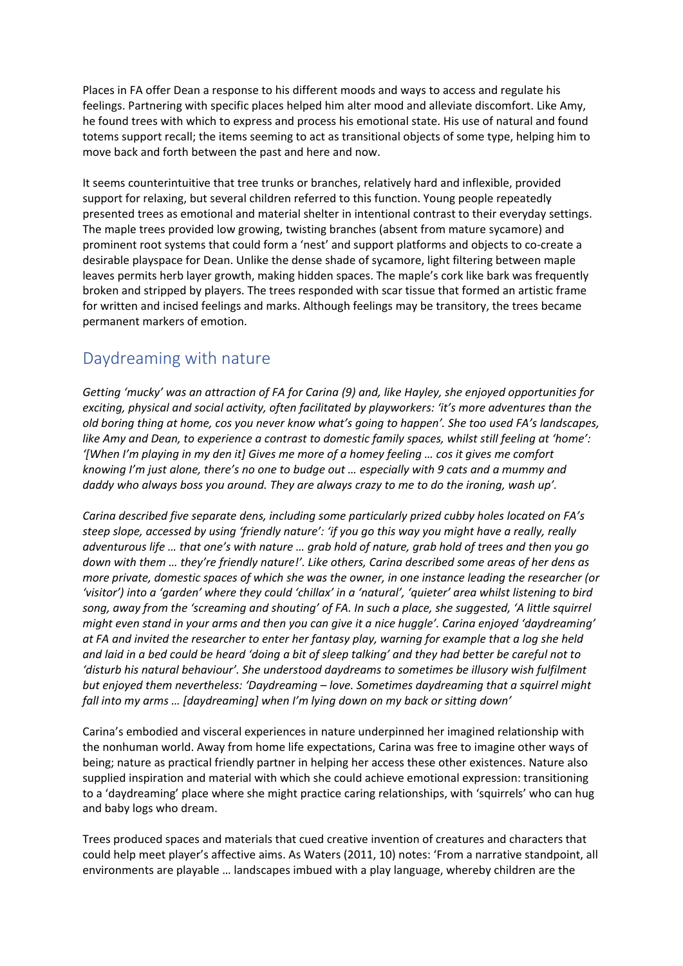Places in FA offer Dean a response to his different moods and ways to access and regulate his feelings. Partnering with specific places helped him alter mood and alleviate discomfort. Like Amy, he found trees with which to express and process his emotional state. His use of natural and found totems support recall; the items seeming to act as transitional objects of some type, helping him to move back and forth between the past and here and now.

It seems counterintuitive that tree trunks or branches, relatively hard and inflexible, provided support for relaxing, but several children referred to this function. Young people repeatedly presented trees as emotional and material shelter in intentional contrast to their everyday settings. The maple trees provided low growing, twisting branches (absent from mature sycamore) and prominent root systems that could form a 'nest' and support platforms and objects to co-create a desirable playspace for Dean. Unlike the dense shade of sycamore, light filtering between maple leaves permits herb layer growth, making hidden spaces. The maple's cork like bark was frequently broken and stripped by players. The trees responded with scar tissue that formed an artistic frame for written and incised feelings and marks. Although feelings may be transitory, the trees became permanent markers of emotion.

### Daydreaming with nature

*Getting 'mucky' was an attraction of FA for Carina (9) and, like Hayley, she enjoyed opportunities for exciting, physical and social activity, often facilitated by playworkers: 'it's more adventures than the old boring thing at home, cos you never know what's going to happen'. She too used FA's landscapes, like Amy and Dean, to experience a contrast to domestic family spaces, whilst still feeling at 'home': '[When I'm playing in my den it] Gives me more of a homey feeling … cos it gives me comfort knowing I'm just alone, there's no one to budge out … especially with 9 cats and a mummy and daddy who always boss you around. They are always crazy to me to do the ironing, wash up'.*

*Carina described five separate dens, including some particularly prized cubby holes located on FA's steep slope, accessed by using 'friendly nature': 'if you go this way you might have a really, really adventurous life … that one's with nature … grab hold of nature, grab hold of trees and then you go down with them … they're friendly nature!'. Like others, Carina described some areas of her dens as more private, domestic spaces of which she was the owner, in one instance leading the researcher (or 'visitor') into a 'garden' where they could 'chillax' in a 'natural', 'quieter' area whilst listening to bird song, away from the 'screaming and shouting' of FA. In such a place, she suggested, 'A little squirrel might even stand in your arms and then you can give it a nice huggle'. Carina enjoyed 'daydreaming' at FA and invited the researcher to enter her fantasy play, warning for example that a log she held and laid in a bed could be heard 'doing a bit of sleep talking' and they had better be careful not to 'disturb his natural behaviour'. She understood daydreams to sometimes be illusory wish fulfilment but enjoyed them nevertheless: 'Daydreaming – love. Sometimes daydreaming that a squirrel might fall into my arms … [daydreaming] when I'm lying down on my back or sitting down'*

Carina's embodied and visceral experiences in nature underpinned her imagined relationship with the nonhuman world. Away from home life expectations, Carina was free to imagine other ways of being; nature as practical friendly partner in helping her access these other existences. Nature also supplied inspiration and material with which she could achieve emotional expression: transitioning to a 'daydreaming' place where she might practice caring relationships, with 'squirrels' who can hug and baby logs who dream.

Trees produced spaces and materials that cued creative invention of creatures and characters that could help meet player's affective aims. As Waters (2011, 10) notes: 'From a narrative standpoint, all environments are playable … landscapes imbued with a play language, whereby children are the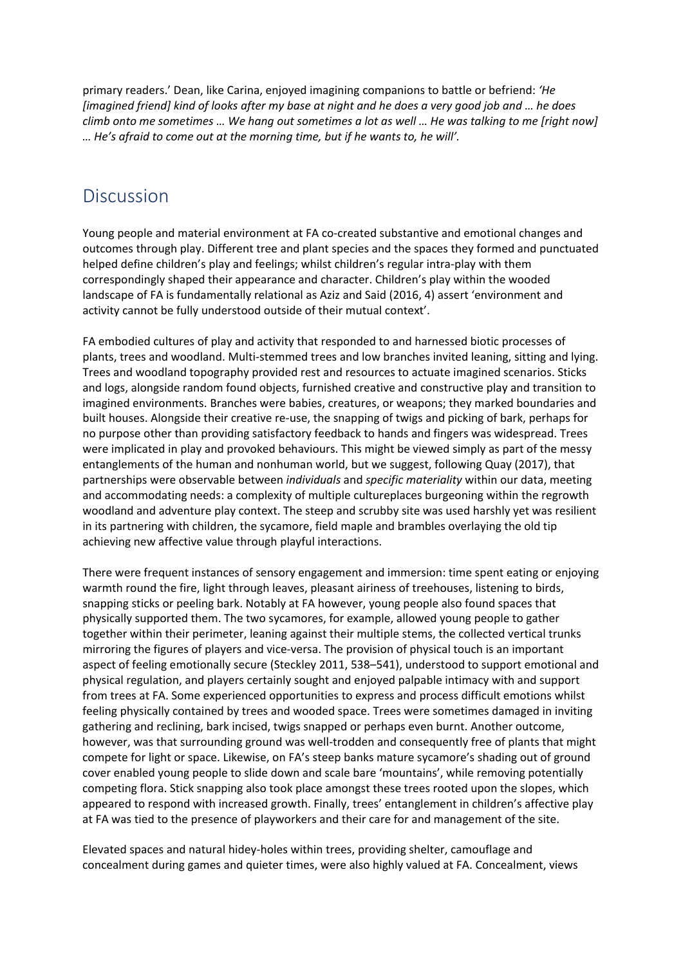primary readers.' Dean, like Carina, enjoyed imagining companions to battle or befriend: *'He [imagined friend] kind of looks after my base at night and he does a very good job and … he does climb onto me sometimes … We hang out sometimes a lot as well … He was talking to me [right now] … He's afraid to come out at the morning time, but if he wants to, he will'.*

### Discussion

Young people and material environment at FA co-created substantive and emotional changes and outcomes through play. Different tree and plant species and the spaces they formed and punctuated helped define children's play and feelings; whilst children's regular intra-play with them correspondingly shaped their appearance and character. Children's play within the wooded landscape of FA is fundamentally relational as Aziz and Said (2016, 4) assert 'environment and activity cannot be fully understood outside of their mutual context'.

FA embodied cultures of play and activity that responded to and harnessed biotic processes of plants, trees and woodland. Multi-stemmed trees and low branches invited leaning, sitting and lying. Trees and woodland topography provided rest and resources to actuate imagined scenarios. Sticks and logs, alongside random found objects, furnished creative and constructive play and transition to imagined environments. Branches were babies, creatures, or weapons; they marked boundaries and built houses. Alongside their creative re-use, the snapping of twigs and picking of bark, perhaps for no purpose other than providing satisfactory feedback to hands and fingers was widespread. Trees were implicated in play and provoked behaviours. This might be viewed simply as part of the messy entanglements of the human and nonhuman world, but we suggest, following Quay (2017), that partnerships were observable between *individuals* and *specific materiality* within our data, meeting and accommodating needs: a complexity of multiple cultureplaces burgeoning within the regrowth woodland and adventure play context. The steep and scrubby site was used harshly yet was resilient in its partnering with children, the sycamore, field maple and brambles overlaying the old tip achieving new affective value through playful interactions.

There were frequent instances of sensory engagement and immersion: time spent eating or enjoying warmth round the fire, light through leaves, pleasant airiness of treehouses, listening to birds, snapping sticks or peeling bark. Notably at FA however, young people also found spaces that physically supported them. The two sycamores, for example, allowed young people to gather together within their perimeter, leaning against their multiple stems, the collected vertical trunks mirroring the figures of players and vice-versa. The provision of physical touch is an important aspect of feeling emotionally secure (Steckley 2011, 538–541), understood to support emotional and physical regulation, and players certainly sought and enjoyed palpable intimacy with and support from trees at FA. Some experienced opportunities to express and process difficult emotions whilst feeling physically contained by trees and wooded space. Trees were sometimes damaged in inviting gathering and reclining, bark incised, twigs snapped or perhaps even burnt. Another outcome, however, was that surrounding ground was well-trodden and consequently free of plants that might compete for light or space. Likewise, on FA's steep banks mature sycamore's shading out of ground cover enabled young people to slide down and scale bare 'mountains', while removing potentially competing flora. Stick snapping also took place amongst these trees rooted upon the slopes, which appeared to respond with increased growth. Finally, trees' entanglement in children's affective play at FA was tied to the presence of playworkers and their care for and management of the site.

Elevated spaces and natural hidey-holes within trees, providing shelter, camouflage and concealment during games and quieter times, were also highly valued at FA. Concealment, views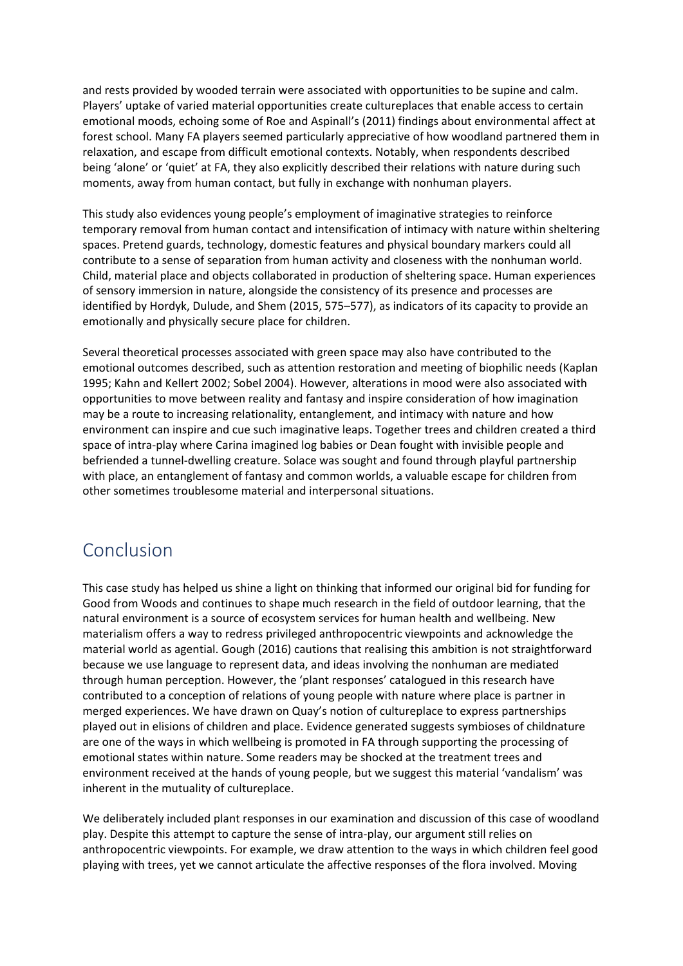and rests provided by wooded terrain were associated with opportunities to be supine and calm. Players' uptake of varied material opportunities create cultureplaces that enable access to certain emotional moods, echoing some of Roe and Aspinall's (2011) findings about environmental affect at forest school. Many FA players seemed particularly appreciative of how woodland partnered them in relaxation, and escape from difficult emotional contexts. Notably, when respondents described being 'alone' or 'quiet' at FA, they also explicitly described their relations with nature during such moments, away from human contact, but fully in exchange with nonhuman players.

This study also evidences young people's employment of imaginative strategies to reinforce temporary removal from human contact and intensification of intimacy with nature within sheltering spaces. Pretend guards, technology, domestic features and physical boundary markers could all contribute to a sense of separation from human activity and closeness with the nonhuman world. Child, material place and objects collaborated in production of sheltering space. Human experiences of sensory immersion in nature, alongside the consistency of its presence and processes are identified by Hordyk, Dulude, and Shem (2015, 575–577), as indicators of its capacity to provide an emotionally and physically secure place for children.

Several theoretical processes associated with green space may also have contributed to the emotional outcomes described, such as attention restoration and meeting of biophilic needs (Kaplan 1995; Kahn and Kellert 2002; Sobel 2004). However, alterations in mood were also associated with opportunities to move between reality and fantasy and inspire consideration of how imagination may be a route to increasing relationality, entanglement, and intimacy with nature and how environment can inspire and cue such imaginative leaps. Together trees and children created a third space of intra-play where Carina imagined log babies or Dean fought with invisible people and befriended a tunnel-dwelling creature. Solace was sought and found through playful partnership with place, an entanglement of fantasy and common worlds, a valuable escape for children from other sometimes troublesome material and interpersonal situations.

### Conclusion

This case study has helped us shine a light on thinking that informed our original bid for funding for Good from Woods and continues to shape much research in the field of outdoor learning, that the natural environment is a source of ecosystem services for human health and wellbeing. New materialism offers a way to redress privileged anthropocentric viewpoints and acknowledge the material world as agential. Gough (2016) cautions that realising this ambition is not straightforward because we use language to represent data, and ideas involving the nonhuman are mediated through human perception. However, the 'plant responses' catalogued in this research have contributed to a conception of relations of young people with nature where place is partner in merged experiences. We have drawn on Quay's notion of cultureplace to express partnerships played out in elisions of children and place. Evidence generated suggests symbioses of childnature are one of the ways in which wellbeing is promoted in FA through supporting the processing of emotional states within nature. Some readers may be shocked at the treatment trees and environment received at the hands of young people, but we suggest this material 'vandalism' was inherent in the mutuality of cultureplace.

We deliberately included plant responses in our examination and discussion of this case of woodland play. Despite this attempt to capture the sense of intra-play, our argument still relies on anthropocentric viewpoints. For example, we draw attention to the ways in which children feel good playing with trees, yet we cannot articulate the affective responses of the flora involved. Moving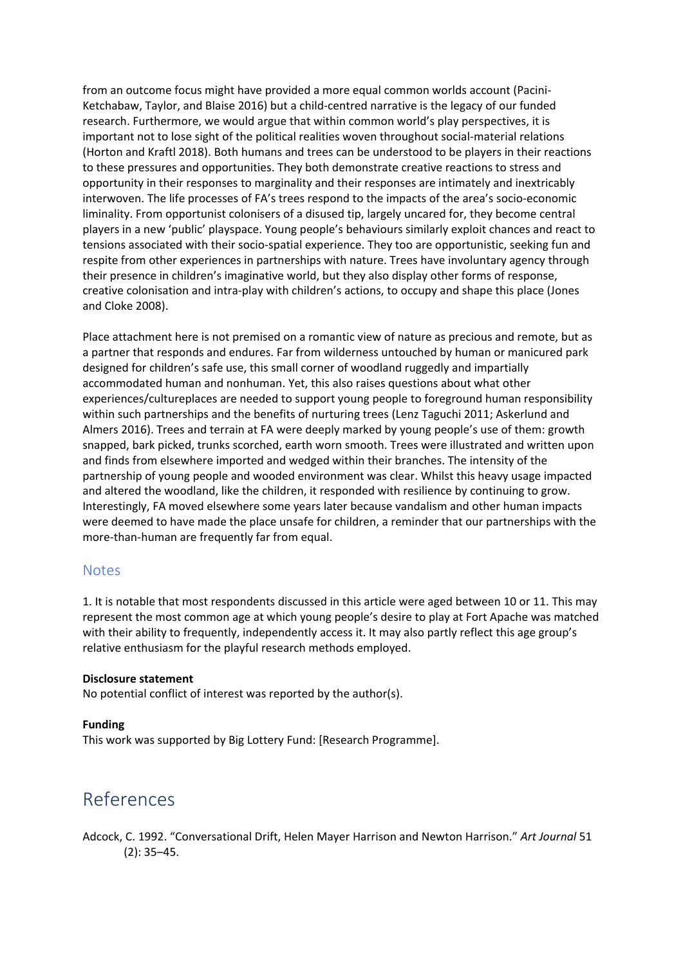from an outcome focus might have provided a more equal common worlds account (Pacini-Ketchabaw, Taylor, and Blaise 2016) but a child-centred narrative is the legacy of our funded research. Furthermore, we would argue that within common world's play perspectives, it is important not to lose sight of the political realities woven throughout social-material relations (Horton and Kraftl 2018). Both humans and trees can be understood to be players in their reactions to these pressures and opportunities. They both demonstrate creative reactions to stress and opportunity in their responses to marginality and their responses are intimately and inextricably interwoven. The life processes of FA's trees respond to the impacts of the area's socio-economic liminality. From opportunist colonisers of a disused tip, largely uncared for, they become central players in a new 'public' playspace. Young people's behaviours similarly exploit chances and react to tensions associated with their socio-spatial experience. They too are opportunistic, seeking fun and respite from other experiences in partnerships with nature. Trees have involuntary agency through their presence in children's imaginative world, but they also display other forms of response, creative colonisation and intra-play with children's actions, to occupy and shape this place (Jones and Cloke 2008).

Place attachment here is not premised on a romantic view of nature as precious and remote, but as a partner that responds and endures. Far from wilderness untouched by human or manicured park designed for children's safe use, this small corner of woodland ruggedly and impartially accommodated human and nonhuman. Yet, this also raises questions about what other experiences/cultureplaces are needed to support young people to foreground human responsibility within such partnerships and the benefits of nurturing trees (Lenz Taguchi 2011; Askerlund and Almers 2016). Trees and terrain at FA were deeply marked by young people's use of them: growth snapped, bark picked, trunks scorched, earth worn smooth. Trees were illustrated and written upon and finds from elsewhere imported and wedged within their branches. The intensity of the partnership of young people and wooded environment was clear. Whilst this heavy usage impacted and altered the woodland, like the children, it responded with resilience by continuing to grow. Interestingly, FA moved elsewhere some years later because vandalism and other human impacts were deemed to have made the place unsafe for children, a reminder that our partnerships with the more-than-human are frequently far from equal.

#### Notes

1. It is notable that most respondents discussed in this article were aged between 10 or 11. This may represent the most common age at which young people's desire to play at Fort Apache was matched with their ability to frequently, independently access it. It may also partly reflect this age group's relative enthusiasm for the playful research methods employed.

#### **Disclosure statement**

No potential conflict of interest was reported by the author(s).

#### **Funding**

This work was supported by Big Lottery Fund: [Research Programme].

### References

Adcock, C. 1992. "Conversational Drift, Helen Mayer Harrison and Newton Harrison." *Art Journal* 51 (2): 35–45.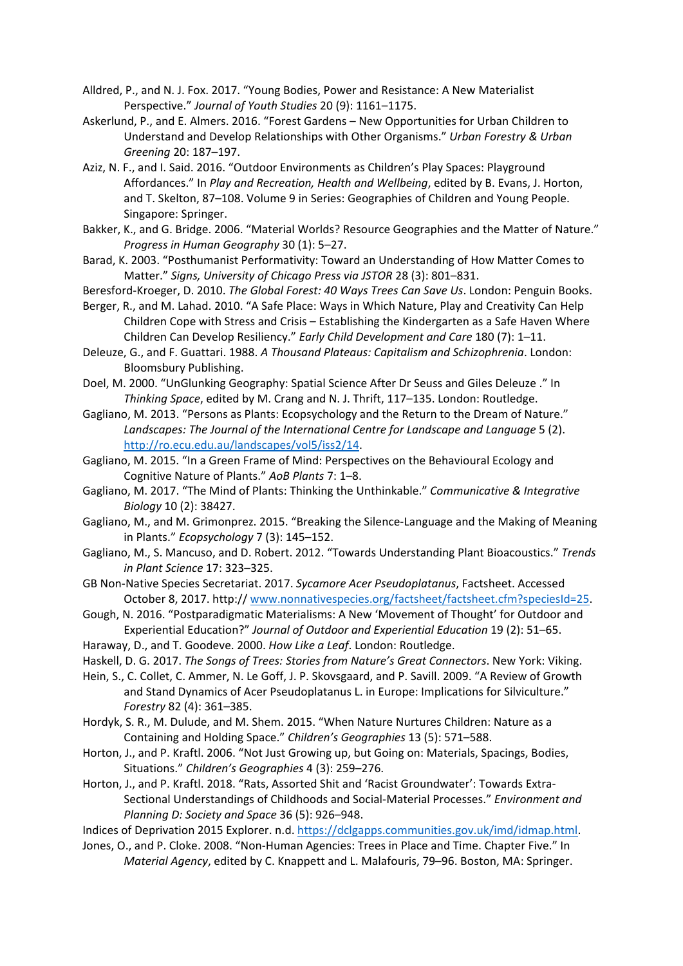- Alldred, P., and N. J. Fox. 2017. "Young Bodies, Power and Resistance: A New Materialist Perspective." *Journal of Youth Studies* 20 (9): 1161–1175.
- Askerlund, P., and E. Almers. 2016. "Forest Gardens New Opportunities for Urban Children to Understand and Develop Relationships with Other Organisms." *Urban Forestry & Urban Greening* 20: 187–197.
- Aziz, N. F., and I. Said. 2016. "Outdoor Environments as Children's Play Spaces: Playground Affordances." In *Play and Recreation, Health and Wellbeing*, edited by B. Evans, J. Horton, and T. Skelton, 87–108. Volume 9 in Series: Geographies of Children and Young People. Singapore: Springer.
- Bakker, K., and G. Bridge. 2006. "Material Worlds? Resource Geographies and the Matter of Nature." *Progress in Human Geography* 30 (1): 5–27.
- Barad, K. 2003. "Posthumanist Performativity: Toward an Understanding of How Matter Comes to Matter." *Signs, University of Chicago Press via JSTOR* 28 (3): 801–831.
- Beresford-Kroeger, D. 2010. *The Global Forest: 40 Ways Trees Can Save Us*. London: Penguin Books.
- Berger, R., and M. Lahad. 2010. "A Safe Place: Ways in Which Nature, Play and Creativity Can Help Children Cope with Stress and Crisis – Establishing the Kindergarten as a Safe Haven Where Children Can Develop Resiliency." *Early Child Development and Care* 180 (7): 1–11.
- Deleuze, G., and F. Guattari. 1988. *A Thousand Plateaus: Capitalism and Schizophrenia*. London: Bloomsbury Publishing.
- Doel, M. 2000. "UnGlunking Geography: Spatial Science After Dr Seuss and Giles Deleuze ." In *Thinking Space*, edited by M. Crang and N. J. Thrift, 117–135. London: Routledge.
- Gagliano, M. 2013. "Persons as Plants: Ecopsychology and the Return to the Dream of Nature." *Landscapes: The Journal of the International Centre for Landscape and Language* 5 (2). [http://ro.ecu.edu.au/landscapes/vol5/iss2/14.](http://ro.ecu.edu.au/landscapes/vol5/iss2/14)
- Gagliano, M. 2015. "In a Green Frame of Mind: Perspectives on the Behavioural Ecology and Cognitive Nature of Plants." *AoB Plants* 7: 1–8.
- Gagliano, M. 2017. "The Mind of Plants: Thinking the Unthinkable." *Communicative & Integrative Biology* 10 (2): 38427.
- Gagliano, M., and M. Grimonprez. 2015. "Breaking the Silence-Language and the Making of Meaning in Plants." *Ecopsychology* 7 (3): 145–152.
- Gagliano, M., S. Mancuso, and D. Robert. 2012. "Towards Understanding Plant Bioacoustics." *Trends in Plant Science* 17: 323–325.
- GB Non-Native Species Secretariat. 2017. *Sycamore Acer Pseudoplatanus*, Factsheet. Accessed October 8, 2017. http:// [www.nonnativespecies.org/factsheet/factsheet.cfm?speciesId=25.](http://www.nonnativespecies.org/factsheet/factsheet.cfm?speciesId=25)
- Gough, N. 2016. "Postparadigmatic Materialisms: A New 'Movement of Thought' for Outdoor and Experiential Education?" *Journal of Outdoor and Experiential Education* 19 (2): 51–65.

Haraway, D., and T. Goodeve. 2000. *How Like a Leaf*. London: Routledge.

Haskell, D. G. 2017. *The Songs of Trees: Stories from Nature's Great Connectors*. New York: Viking.

Hein, S., C. Collet, C. Ammer, N. Le Goff, J. P. Skovsgaard, and P. Savill. 2009. "A Review of Growth and Stand Dynamics of Acer Pseudoplatanus L. in Europe: Implications for Silviculture." *Forestry* 82 (4): 361–385.

- Hordyk, S. R., M. Dulude, and M. Shem. 2015. "When Nature Nurtures Children: Nature as a Containing and Holding Space." *Children's Geographies* 13 (5): 571–588.
- Horton, J., and P. Kraftl. 2006. "Not Just Growing up, but Going on: Materials, Spacings, Bodies, Situations." *Children's Geographies* 4 (3): 259–276.
- Horton, J., and P. Kraftl. 2018. "Rats, Assorted Shit and 'Racist Groundwater': Towards Extra-Sectional Understandings of Childhoods and Social-Material Processes." *Environment and Planning D: Society and Space* 36 (5): 926–948.
- Indices of Deprivation 2015 Explorer. n.d. [https://dclgapps.communities.gov.uk/imd/idmap.html.](https://dclgapps.communities.gov.uk/imd/idmap.html)
- Jones, O., and P. Cloke. 2008. "Non-Human Agencies: Trees in Place and Time. Chapter Five." In *Material Agency*, edited by C. Knappett and L. Malafouris, 79–96. Boston, MA: Springer.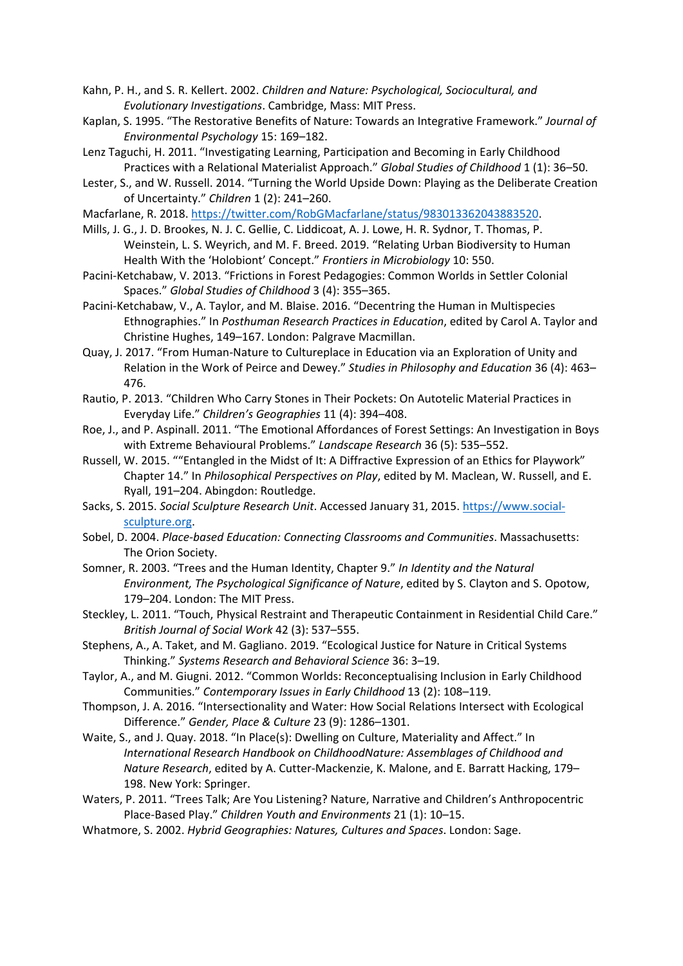- Kahn, P. H., and S. R. Kellert. 2002. *Children and Nature: Psychological, Sociocultural, and Evolutionary Investigations*. Cambridge, Mass: MIT Press.
- Kaplan, S. 1995. "The Restorative Benefits of Nature: Towards an Integrative Framework." *Journal of Environmental Psychology* 15: 169–182.
- Lenz Taguchi, H. 2011. "Investigating Learning, Participation and Becoming in Early Childhood Practices with a Relational Materialist Approach." *Global Studies of Childhood* 1 (1): 36–50.
- Lester, S., and W. Russell. 2014. "Turning the World Upside Down: Playing as the Deliberate Creation of Uncertainty." *Children* 1 (2): 241–260.

Macfarlane, R. 2018. [https://twitter.com/RobGMacfarlane/status/983013362043883520.](https://twitter.com/RobGMacfarlane/status/983013362043883520)

- Mills, J. G., J. D. Brookes, N. J. C. Gellie, C. Liddicoat, A. J. Lowe, H. R. Sydnor, T. Thomas, P. Weinstein, L. S. Weyrich, and M. F. Breed. 2019. "Relating Urban Biodiversity to Human Health With the 'Holobiont' Concept." *Frontiers in Microbiology* 10: 550.
- Pacini-Ketchabaw, V. 2013. "Frictions in Forest Pedagogies: Common Worlds in Settler Colonial Spaces." *Global Studies of Childhood* 3 (4): 355–365.
- Pacini-Ketchabaw, V., A. Taylor, and M. Blaise. 2016. "Decentring the Human in Multispecies Ethnographies." In *Posthuman Research Practices in Education*, edited by Carol A. Taylor and Christine Hughes, 149–167. London: Palgrave Macmillan.
- Quay, J. 2017. "From Human-Nature to Cultureplace in Education via an Exploration of Unity and Relation in the Work of Peirce and Dewey." *Studies in Philosophy and Education* 36 (4): 463– 476.
- Rautio, P. 2013. "Children Who Carry Stones in Their Pockets: On Autotelic Material Practices in Everyday Life." *Children's Geographies* 11 (4): 394–408.
- Roe, J., and P. Aspinall. 2011. "The Emotional Affordances of Forest Settings: An Investigation in Boys with Extreme Behavioural Problems." *Landscape Research* 36 (5): 535–552.
- Russell, W. 2015. ""Entangled in the Midst of It: A Diffractive Expression of an Ethics for Playwork" Chapter 14." In *Philosophical Perspectives on Play*, edited by M. Maclean, W. Russell, and E. Ryall, 191–204. Abingdon: Routledge.
- Sacks, S. 2015. *Social Sculpture Research Unit*. Accessed January 31, 2015. [https://www.social](https://www.social-sculpture.org/)[sculpture.org.](https://www.social-sculpture.org/)
- Sobel, D. 2004. *Place-based Education: Connecting Classrooms and Communities*. Massachusetts: The Orion Society.
- Somner, R. 2003. "Trees and the Human Identity, Chapter 9." *In Identity and the Natural Environment, The Psychological Significance of Nature*, edited by S. Clayton and S. Opotow, 179–204. London: The MIT Press.
- Steckley, L. 2011. "Touch, Physical Restraint and Therapeutic Containment in Residential Child Care." *British Journal of Social Work* 42 (3): 537–555.
- Stephens, A., A. Taket, and M. Gagliano. 2019. "Ecological Justice for Nature in Critical Systems Thinking." *Systems Research and Behavioral Science* 36: 3–19.
- Taylor, A., and M. Giugni. 2012. "Common Worlds: Reconceptualising Inclusion in Early Childhood Communities." *Contemporary Issues in Early Childhood* 13 (2): 108–119.
- Thompson, J. A. 2016. "Intersectionality and Water: How Social Relations Intersect with Ecological Difference." *Gender, Place & Culture* 23 (9): 1286–1301.
- Waite, S., and J. Quay. 2018. "In Place(s): Dwelling on Culture, Materiality and Affect." In *International Research Handbook on ChildhoodNature: Assemblages of Childhood and Nature Research*, edited by A. Cutter-Mackenzie, K. Malone, and E. Barratt Hacking, 179– 198. New York: Springer.
- Waters, P. 2011. "Trees Talk; Are You Listening? Nature, Narrative and Children's Anthropocentric Place-Based Play." *Children Youth and Environments* 21 (1): 10–15.
- Whatmore, S. 2002. *Hybrid Geographies: Natures, Cultures and Spaces*. London: Sage.